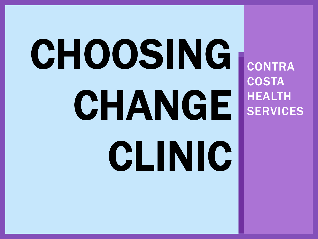# CHOOSING CHANGE CLINIC

CONTRA **COSTA** HEALTH **SERVICES**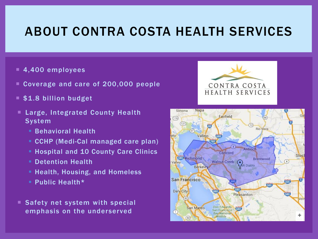#### ABOUT CONTRA COSTA HEALTH SERVICES

- 4.400 employees
- Coverage and care of 200,000 people
- \$1.8 billion budget
- Large, Integrated County Health **System** 
	- **E** Behavioral Health
	- **E** CCHP (Medi-Cal managed care plan)
	- **EXPENSIME 10 County Care Clinics**
	- **E** Detention Health
	- **E** Health, Housing, and Homeless
	- **Public Health\***
- Safety net system with special emphasis on the underserved



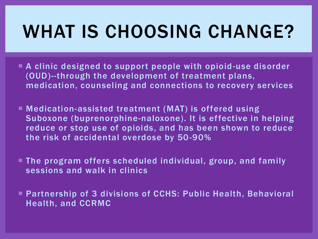# WHAT IS CHOOSING CHANGE?

- A clinic designed to support people with opioid-use disorder (OUD)--through the development of treatment plans, medication, counseling and connections to recovery services
- Medication-assisted treatment (MAT) is offered using Suboxone (buprenorphine-naloxone). It is effective in helping reduce or stop use of opioids, and has been shown to reduce the risk of accidental overdose by 50-90%
- The program offers scheduled individual, group, and family sessions and walk in clinics
- Partnership of 3 divisions of CCHS: Public Health, Behavioral Health, and CCRMC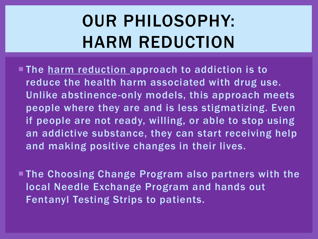## OUR PHILOSOPHY: HARM REDUCTION

- The harm reduction approach to addiction is to reduce the health harm associated with drug use. Unlike abstinence-only models, this approach meets people where they are and is less stigmatizing. Even if people are not ready, willing, or able to stop using an addictive substance, they can start receiving help and making positive changes in their lives.
- The Choosing Change Program also partners with the local Needle Exchange Program and hands out Fentanyl Testing Strips to patients.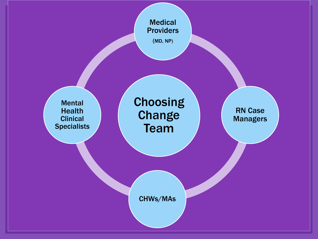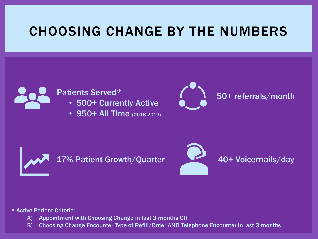#### CHOOSING CHANGE BY THE NUMBERS



\* Active Patient Criteria:

- A) Appointment with Choosing Change in last 3 months OR
- B) Choosing Change Encounter Type of Refill/Order AND Telephone Encounter in last 3 months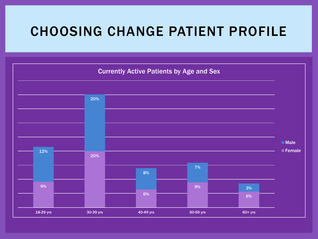#### CHOOSING CHANGE PATIENT PROFILE

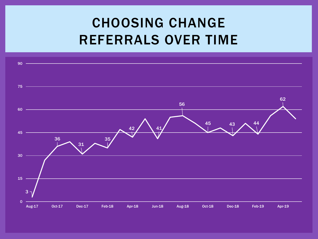## CHOOSING CHANGE REFERRALS OVER TIME

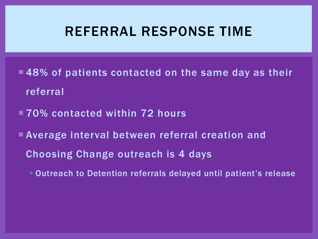#### REFERRAL RESPONSE TIME

- ■48% of patients contacted on the same day as their referral
- ■70% contacted within 72 hours
- **Average interval between referral creation and** 
	- Choosing Change outreach is 4 days
		- **Outreach to Detention referrals delayed until patient's release**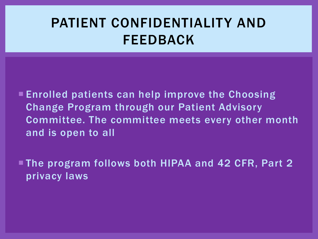## PATIENT CONFIDENTIALITY AND FEEDBACK

 $\blacksquare$  Enrolled patients can help improve the Choosing Change Program through our Patient Advisory Committee. The committee meets every other month and is open to all

 The program follows both HIPAA and 42 CFR, Part 2 privacy laws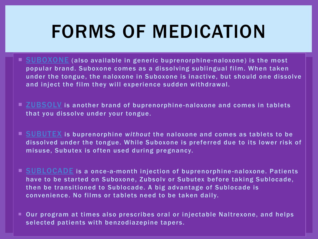# FORMS OF MEDICATION

- SUBOXONE (also available in generic buprenorphine-naloxone) is the most popular brand. Suboxone comes as a dissolving sublingual film. When taken under the tongue, the naloxone in Suboxone is inactive, but should one dissolve and inject the film they will experience sudden withdrawal.
- ZUBSOLV is another brand of buprenorphine-naloxone and comes in tablets that you dissolve under your tongue.
- SUBUTEX is buprenorphine *without* the naloxone and comes as tablets to be dissolved under the tongue. While Suboxone is preferred due to its lower risk of misuse, Subutex is often used during pregnancy.
- **SUBLOCADE** is a once-a-month injection of buprenorphine-naloxone. Patients have to be started on Suboxone, Zubsolv or Subutex before taking Sublocade, then be transitioned to Sublocade. A big advantage of Sublocade is convenience. No films or tablets need to be taken daily.
- Our program at times also prescribes oral or injectable Naltrexone, and helps selected patients with benzodiazepine tapers.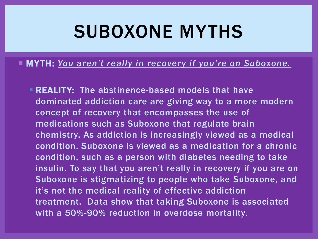## SUBOXONE MYTHS

#### MYTH: *You aren't really in recovery if you're on Suboxone.*

**EXEALITY:** The abstinence-based models that have dominated addiction care are giving way to a more modern concept of recovery that encompasses the use of medications such as Suboxone that regulate brain chemistry. As addiction is increasingly viewed as a medical condition, Suboxone is viewed as a medication for a chronic condition, such as a person with diabetes needing to take insulin. To say that you aren't really in recovery if you are on Suboxone is stigmatizing to people who take Suboxone, and it's not the medical reality of effective addiction treatment. Data show that taking Suboxone is associated with a 50%-90% reduction in overdose mortality.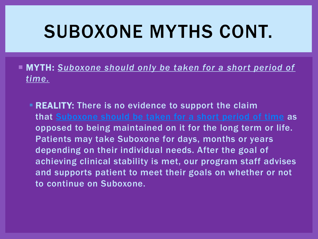# SUBOXONE MYTHS CONT.

- MYTH: *Suboxone should only be taken for a short period of time.*
	- **REALITY:** There is no evidence to support the claim that [Suboxone should be taken for a short period of time](https://www.naabt.org/documents/TIP40.pdf) as opposed to being maintained on it for the long term or life. Patients may take Suboxone for days, months or years depending on their individual needs. After the goal of achieving clinical stability is met, our program staff advises and supports patient to meet their goals on whether or not to continue on Suboxone.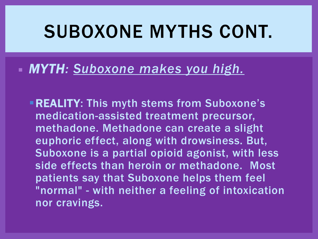## SUBOXONE MYTHS CONT.

#### *MYTH: Suboxone makes you high.*

**REALITY: This myth stems from Suboxone's** medication-assisted treatment precursor, methadone. Methadone can create a slight euphoric effect, along with drowsiness. But, Suboxone is a partial opioid agonist, with less side effects than heroin or methadone. Most patients say that Suboxone helps them feel "normal" - with neither a feeling of intoxication nor cravings.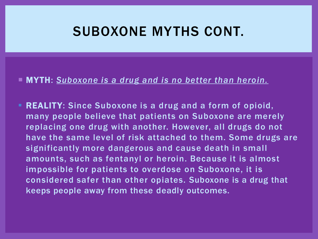#### SUBOXONE MYTHS CONT.

#### MYTH: *Suboxone is a drug and is no better than heroin.*

**REALITY:** Since Suboxone is a drug and a form of opioid, many people believe that patients on Suboxone are merely replacing one drug with another. However, all drugs do not have the same level of risk attached to them. Some drugs are significantly more dangerous and cause death in small amounts, such as fentanyl or heroin. Because it is almost impossible for patients to overdose on Suboxone, it is considered safer than other opiates. Suboxone is a drug that keeps people away from these deadly outcomes.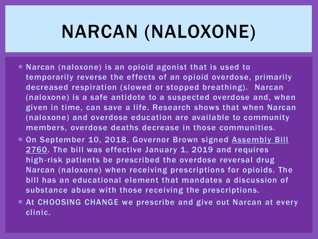# NARCAN (NALOXONE)

- Narcan (naloxone) is an opioid agonist that is used to temporarily reverse the effects of an opioid overdose, primarily decreased respiration (slowed or stopped breathing). Narcan (naloxone) is a safe antidote to a suspected overdose and, when given in time, can save a life. Research shows that when Narcan (naloxone) and overdose education are available to community members, overdose deaths decrease in those communities.
- On September 10, 2018, Governor Brown signed Assembly Bill 2760. The bill was effective January 1, 2019 and requires high‐risk patients be prescribed the overdose reversal drug Narcan (naloxone) when receiving prescriptions for opioids. The bill has an educational element that mandates a discussion of substance abuse with those receiving the prescriptions.
- **At CHOOSING CHANGE we prescribe and give out Narcan at every** clinic.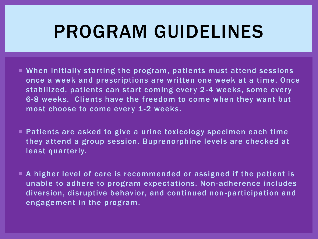## PROGRAM GUIDELINES

- When initially starting the program, patients must attend sessions once a week and prescriptions are written one week at a time. Once stabilized, patients can start coming every 2-4 weeks, some every 6-8 weeks. Clients have the freedom to come when they want but most choose to come every 1-2 weeks.
- Patients are asked to give a urine toxicology specimen each time they attend a group session. Buprenorphine levels are checked at least quarterly.
- A higher level of care is recommended or assigned if the patient is unable to adhere to program expectations. Non-adherence includes diversion, disruptive behavior, and continued non -participation and engagement in the program.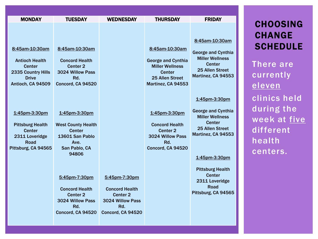| <b>MONDAY</b>                                                                                                       | <b>TUESDAY</b>                                                                                                         | <b>WEDNESDAY</b>                                                                                              | <b>THURSDAY</b>                                                                                                                 | <b>FRIDAY</b>                                                                                                                   |
|---------------------------------------------------------------------------------------------------------------------|------------------------------------------------------------------------------------------------------------------------|---------------------------------------------------------------------------------------------------------------|---------------------------------------------------------------------------------------------------------------------------------|---------------------------------------------------------------------------------------------------------------------------------|
|                                                                                                                     |                                                                                                                        |                                                                                                               |                                                                                                                                 |                                                                                                                                 |
| 8:45am-10:30am<br><b>Antioch Health</b><br><b>Center</b><br>2335 Country Hills<br><b>Drive</b><br>Antioch, CA 94509 | 8:45am-10:30am<br><b>Concord Health</b><br>Center 2<br>3024 Willow Pass<br>Rd.<br>Concord, CA 94520                    |                                                                                                               | 8:45am-10:30am<br><b>George and Cynthia</b><br><b>Miller Wellness</b><br><b>Center</b><br>25 Allen Street<br>Martinez, CA 94553 | 8:45am-10:30am<br><b>George and Cynthia</b><br><b>Miller Wellness</b><br><b>Center</b><br>25 Allen Street<br>Martinez, CA 94553 |
| 1:45pm-3:30pm<br><b>Pittsburg Health</b><br><b>Center</b><br>2311 Loveridge<br><b>Road</b><br>Pittsburg, CA 94565   | 1:45pm-3:30pm<br><b>West County Health</b><br><b>Center</b><br>13601 San Pablo<br>Ave.<br>San Pablo, CA                |                                                                                                               | 1:45pm-3:30pm<br><b>Concord Health</b><br>Center <sub>2</sub><br>3024 Willow Pass<br>Rd.<br>Concord, CA 94520                   | 1:45pm-3:30pm<br><b>George and Cynthia</b><br><b>Miller Wellness</b><br><b>Center</b><br>25 Allen Street<br>Martinez, CA 94553  |
|                                                                                                                     | 94806<br>5.45pm-7:30pm<br><b>Concord Health</b><br>Center <sub>2</sub><br>3024 Willow Pass<br>Rd.<br>Concord, CA 94520 | 5:45pm-7:30pm<br><b>Concord Health</b><br>Center <sub>2</sub><br>3024 Willow Pass<br>Rd.<br>Concord, CA 94520 |                                                                                                                                 | 1:45pm-3:30pm<br><b>Pittsburg Health</b><br><b>Center</b><br>2311 Loveridge<br>Road<br>Pittsburg, CA 94565                      |

#### **CHOOSING** CHANGE **SCHEDULE**

There are currently eleven clinics held during the week at five different health centers.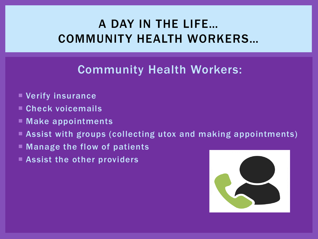#### A DAY IN THE LIFE… COMMUNITY HEALTH WORKERS…

#### Community Health Workers:

- Verify insurance
- Check voicemails
- Make appointments
- Assist with groups (collecting utox and making appointments)
- Manage the flow of patients
- **Assist the other providers**

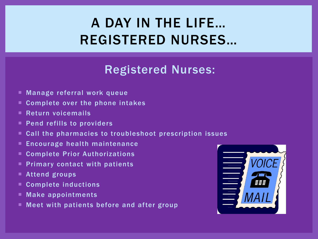## A DAY IN THE LIFE… REGISTERED NURSES…

#### Registered Nurses:

- Manage referral work queue
- Complete over the phone intakes
- Return voicemails
- **Pend refills to providers**
- Call the pharmacies to troubleshoot prescription issues
- **Encourage health maintenance**
- Complete Prior Authorizations
- **Primary contact with patients**
- Attend groups
- Complete inductions
- **Make appointments**
- Meet with patients before and after group

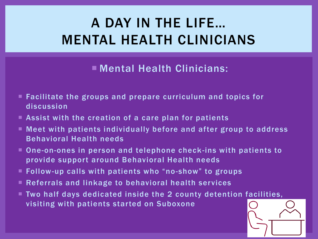## A DAY IN THE LIFE… MENTAL HEALTH CLINICIANS

#### Mental Health Clinicians:

- **Facilitate the groups and prepare curriculum and topics for** discussion
- Assist with the creation of a care plan for patients
- Meet with patients individually before and after group to address Behavioral Health needs
- One-on-ones in person and telephone check-ins with patients to provide support around Behavioral Health needs
- Follow-up calls with patients who "no-show" to groups
- **Referrals and linkage to behavioral health services**
- Two half days dedicated inside the 2 county detention facilities, visiting with patients started on Suboxone

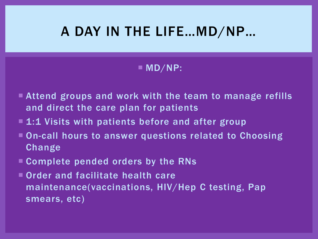## A DAY IN THE LIFE…MD/NP…

#### $M$  MD/NP:

- **Attend groups and work with the team to manage refills** and direct the care plan for patients
- **1:1 Visits with patients before and after group**
- On-call hours to answer questions related to Choosing Change
- Complete pended orders by the RNs
- Order and facilitate health care maintenance(vaccinations, HIV/Hep C testing, Pap smears, etc)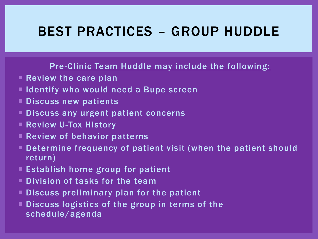## BEST PRACTICES – GROUP HUDDLE

#### Pre-Clinic Team Huddle may include the following:

- Review the care plan
- I Identify who would need a Bupe screen
- Discuss new patients
- Discuss any urgent patient concerns
- **Review U-Tox History**
- **Review of behavior patterns**
- Determine frequency of patient visit (when the patient should return)
- **Establish home group for patient**
- **Division of tasks for the team**
- Discuss preliminary plan for the patient
- Discuss logistics of the group in terms of the schedule/agenda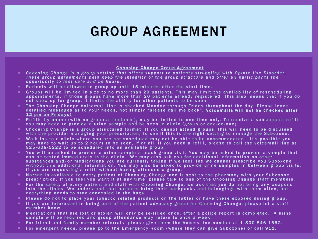#### GROUP AGREEMENT

#### Choosing Change Group Agreement

- *C h o o s i n g C h a n g e i s a g r o u p s e t t i n g t h a t o f f e r s s u p p o r t t o p a t i e n t s s t r u g g l i n g w i t h O p i a t e U s e D i s o r d e r . These group agreements help keep the integrity of the group structure and offer all participants the opportunity to feel safe and be heard.*
- $\blacksquare$  Patients will be allowed in group up until 15 minutes after the start time.
- Groups will be limited in size to no more than 20 patients. This may limit the availability of rescheduling appointments, if those groups have more than 20 patients already registered. This also means that if you do not show up for group, it limits the ability for other patients to be seen.
- The Choosing Change Voicemail line is checked Monday through Friday throughout the day. Please leave detailed messages as to your needs, not simply "please call me back". Voicemails will not be checked after 12 pm on Fridays!
- Refills by phone (with no group attendance), may be limited to one time only. To receive a subsequent refill, you may need to provide a urine sample and be seen in clinic (group or one-on-one).
- $\blacksquare$  Choosing Change is a group structured format. If you cannot attend groups, this will need to be discussed with the provider managing your prescription, to see if this is the right setting to manage the Suboxone.
- $\blacksquare$  Walk-ins to a clinic where you are not scheduled may not be able to be accommodated. It's possible you may have to wait up to 2 hours to be seen, if at all. If you need a refill, please to call the voicemail line at 925-608-5222 to be scheduled into an available group.
- Vou will be asked to provide a urine sample at each group visit. You may be asked to provide a sample that can be tested immediately in the clinic. We may also ask you for additional information on other substances and/or medications you are currently taking if we feel like we cannot prescribe you Suboxone without this additional information. You may also be asked to provide urine samples in between group visits, if you are requesting a refill without having attended a group.
- Narcan is available to every patient of Choosing Change and is sent to the pharmacy with your Suboxone prescription. If you feel you want it at any time, please talk to one of the Choosing Change staff members.
- For the safety of every patient and staff with Choosing Change, we ask that you do not bring any weapons into the clinics. We understand that patients bring their backpacks and belongings with them often, but everything needs to stay concealed in the bags.
- $\blacksquare$  Please do not to place your tobacco related products on the tables or have these exposed during group.
- If you are interested in being part of the patient advocacy group for Choosing Change, please let a staff member know.
- $\blacksquare$  Medications that are lost or stolen will only be re-filled once, after a police report is completed. A urine sample will be required and group attendance may return to once a week.
- For friend and family member referrals, please give them the Access line number at  $1-800-846-1652$ .
- For emergent needs, please go to the Emergency Room (where they can give Suboxone) or call  $911$ .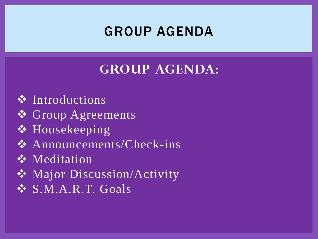## GROUP AGENDA

#### **Group Agenda:**

- ❖ Introductions
- ❖ Group Agreements
- ❖ Housekeeping
- ❖ Announcements/Check-ins
- ❖ Meditation
- ❖ Major Discussion/Activity
- ❖ S.M.A.R.T. Goals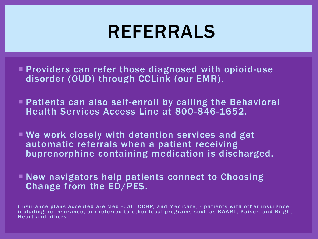## REFERRALS

- **Providers can refer those diagnosed with opioid-use** disorder (OUD) through CCLink (our EMR).
- Patients can also self-enroll by calling the Behavioral Health Services Access Line at 800-846-1652.
- We work closely with detention services and get automatic referrals when a patient receiving buprenorphine containing medication is discharged.
- New navigators help patients connect to Choosing Change from the ED/PES.

(Insurance plans accepted are Medi-CAL, CCHP, and Medicare) - patients with other insurance, including no insurance, are referred to other local programs such as BAART, Kaiser, and Bright Heart and others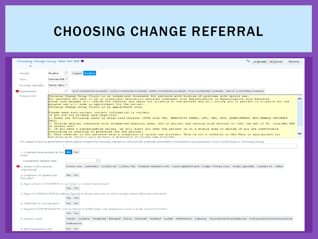#### CHOOSING CHANGE REFERRAL

| Choosing Change Group Clinic INT REF<br>P                                                                |                                                                                                                                                                                                                                                                                                                                                                                                                                                                                                      |                                                                                                            |                |  |  |  |  |  |  |                                                                                                                                                                                    | © <del>V</del> Accept X Cancel |  | Remove |
|----------------------------------------------------------------------------------------------------------|------------------------------------------------------------------------------------------------------------------------------------------------------------------------------------------------------------------------------------------------------------------------------------------------------------------------------------------------------------------------------------------------------------------------------------------------------------------------------------------------------|------------------------------------------------------------------------------------------------------------|----------------|--|--|--|--|--|--|------------------------------------------------------------------------------------------------------------------------------------------------------------------------------------|--------------------------------|--|--------|
| Priority:<br>Class:                                                                                      | Routine<br>Internal Ref                                                                                                                                                                                                                                                                                                                                                                                                                                                                              | Ω                                                                                                          | Urgent Routine |  |  |  |  |  |  |                                                                                                                                                                                    |                                |  |        |
| <b>Provider Specialty:</b>                                                                               | Family Med                                                                                                                                                                                                                                                                                                                                                                                                                                                                                           |                                                                                                            |                |  |  |  |  |  |  |                                                                                                                                                                                    |                                |  |        |
| <b>O</b> Department:                                                                                     |                                                                                                                                                                                                                                                                                                                                                                                                                                                                                                      | Ω<br>AHC CHOOSING CHANGE CHC2 CHOOSING CHANGE MWC CHOOSING CHANGE PHC CHOOSING CHANGE WCHC CHOOSING CHANGE |                |  |  |  |  |  |  |                                                                                                                                                                                    |                                |  |        |
| Process Inst.:                                                                                           | Choosing Change Group Clinic is an outpatient treatment for patients with history of problems with opioid use.<br>For patients who want to be on outpatient medication assisted treatment with Buprenorphine or Buprenorphine with Naloxone<br>Nurse Care Manager will review the referral and reach out directly to the patient and will notify you if patient is eligible for the<br>program and will make an appointment for the patient.<br>Choosing Change Group Clinic is by appointment only. |                                                                                                            |                |  |  |  |  |  |  |                                                                                                                                                                                    |                                |  |        |
|                                                                                                          | Please make sure patient contact information is current.<br>If you are the primary care physician:<br>1. Order the following tests if known risk factors (UTOX with THC, HEPATITIS PANEL, LFT, CBC, HIV, QUANTIFERON, HCG-FEMALE PATIENTS<br>ONLY)<br>2. Provide medical clearance with documented physical exam, and if patient has cardiac risk factors or over the age of 60, consider EKG<br>lor stress test.                                                                                    |                                                                                                            |                |  |  |  |  |  |  |                                                                                                                                                                                    |                                |  |        |
|                                                                                                          | 3. If you have a buprenorphine waiver, we will alert you when the patient is on a stable dose to decide if you are comfortable<br>continuing or starting to prescribe for the patient.<br>4. This referral is for patients with a diagnosis of opiate use disorder. This is not a referral to Med Pain or appropriate for<br>matients with chronic pain without a diagnosis of opiate use disorder.                                                                                                  |                                                                                                            |                |  |  |  |  |  |  |                                                                                                                                                                                    |                                |  |        |
|                                                                                                          |                                                                                                                                                                                                                                                                                                                                                                                                                                                                                                      |                                                                                                            |                |  |  |  |  |  |  | For urgent access or prescription needs please contact the choosing change on call provider (calendar accessible in www.amion.com password 'ccrmc' scroll down to 'choosing change |                                |  |        |
| 1. Is patient incarcerated at this<br>time?                                                              |                                                                                                                                                                                                                                                                                                                                                                                                                                                                                                      | No.<br>Yes                                                                                                 |                |  |  |  |  |  |  |                                                                                                                                                                                    |                                |  |        |
| Anticipated release date:                                                                                |                                                                                                                                                                                                                                                                                                                                                                                                                                                                                                      |                                                                                                            | ä              |  |  |  |  |  |  |                                                                                                                                                                                    |                                |  |        |
| 2. Where is the referral<br>originating?                                                                 |                                                                                                                                                                                                                                                                                                                                                                                                                                                                                                      |                                                                                                            |                |  |  |  |  |  |  | Access Line   Detention   CCRMC ER   CCRMC PES   Medical Inpatient Unit   Psych Inpatient Unit   Outpt. Primary Care   Outpt. Specialty   Outside ER   Other                       |                                |  |        |
| Disorder?                                                                                                | 3. Diagnosis of Opiate Use<br>Yes No                                                                                                                                                                                                                                                                                                                                                                                                                                                                 |                                                                                                            |                |  |  |  |  |  |  |                                                                                                                                                                                    |                                |  |        |
| 4. Signs of lack of CONTROL to cut down or control Opioid use?                                           |                                                                                                                                                                                                                                                                                                                                                                                                                                                                                                      |                                                                                                            |                |  |  |  |  |  |  |                                                                                                                                                                                    |                                |  |        |
|                                                                                                          |                                                                                                                                                                                                                                                                                                                                                                                                                                                                                                      | Yes No                                                                                                     |                |  |  |  |  |  |  |                                                                                                                                                                                    |                                |  |        |
| 5. Signs of COMPULSION by taking Opioids in larger amounts or over a longer period than was intended?    |                                                                                                                                                                                                                                                                                                                                                                                                                                                                                                      | Yes No                                                                                                     |                |  |  |  |  |  |  |                                                                                                                                                                                    |                                |  |        |
|                                                                                                          | 6. CRAVING to use Opioids?<br>Yes No                                                                                                                                                                                                                                                                                                                                                                                                                                                                 |                                                                                                            |                |  |  |  |  |  |  |                                                                                                                                                                                    |                                |  |        |
| 7. Negative CONSEQUENCES such as failure to fulfill major role obligations such as work, school or home? |                                                                                                                                                                                                                                                                                                                                                                                                                                                                                                      |                                                                                                            |                |  |  |  |  |  |  |                                                                                                                                                                                    |                                |  |        |
|                                                                                                          |                                                                                                                                                                                                                                                                                                                                                                                                                                                                                                      | Yes No                                                                                                     |                |  |  |  |  |  |  |                                                                                                                                                                                    |                                |  |        |
| 8. Opiates used:                                                                                         |                                                                                                                                                                                                                                                                                                                                                                                                                                                                                                      |                                                                                                            |                |  |  |  |  |  |  | Heroin Codeine Morphine Diluadid Norco Percocet Fentanyl Lortab Methadone Subxone Oxycodone/Oxymorphone Hydrocodone/Hydromorphone                                                  |                                |  |        |
|                                                                                                          |                                                                                                                                                                                                                                                                                                                                                                                                                                                                                                      | Naltrexone                                                                                                 |                |  |  |  |  |  |  |                                                                                                                                                                                    |                                |  |        |
| 9. Benzodiazepine use?                                                                                   |                                                                                                                                                                                                                                                                                                                                                                                                                                                                                                      | Yes No                                                                                                     |                |  |  |  |  |  |  |                                                                                                                                                                                    |                                |  |        |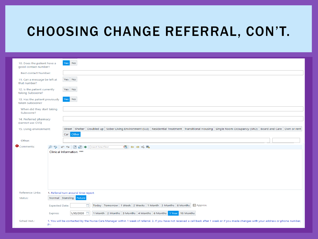#### CHOOSING CHANGE REFERRAL, CON'T.

| 10. Does the patient have a<br>good contact number? |                       | No<br>Yes                                                                                                                                                                                                                                                                                                                                                                                                                     |  |  |  |  |  |  |  |  |
|-----------------------------------------------------|-----------------------|-------------------------------------------------------------------------------------------------------------------------------------------------------------------------------------------------------------------------------------------------------------------------------------------------------------------------------------------------------------------------------------------------------------------------------|--|--|--|--|--|--|--|--|
| Best contact Number:                                |                       |                                                                                                                                                                                                                                                                                                                                                                                                                               |  |  |  |  |  |  |  |  |
| 11. Can a message be left at<br>that number?        |                       | Yes No                                                                                                                                                                                                                                                                                                                                                                                                                        |  |  |  |  |  |  |  |  |
| 12. Is the patient currently<br>taking Suboxone?    |                       | Yes No                                                                                                                                                                                                                                                                                                                                                                                                                        |  |  |  |  |  |  |  |  |
| 13. Has the patient previously<br>taken Suboxone?   |                       | Yes No                                                                                                                                                                                                                                                                                                                                                                                                                        |  |  |  |  |  |  |  |  |
| When did they start taking<br>Suboxone?             |                       |                                                                                                                                                                                                                                                                                                                                                                                                                               |  |  |  |  |  |  |  |  |
| 14. Preferred pharmacy<br>(cannot use CVS)          |                       |                                                                                                                                                                                                                                                                                                                                                                                                                               |  |  |  |  |  |  |  |  |
| 15. Living environment:                             |                       | Street Shelter Doubled up Sober Living Environment (SLE) Residential Treatment Transitional Housing Single Room Occupancy (SRO) Board and Care Own or rent                                                                                                                                                                                                                                                                    |  |  |  |  |  |  |  |  |
|                                                     |                       | Car Other                                                                                                                                                                                                                                                                                                                                                                                                                     |  |  |  |  |  |  |  |  |
| Other:                                              |                       |                                                                                                                                                                                                                                                                                                                                                                                                                               |  |  |  |  |  |  |  |  |
| Comments:                                           |                       | 同々っくも<br>$\bigoplus$ $\bigoplus$ $\bigotimes$ $\bigotimes$ $\bigotimes$ $\bigoplus$ $\bigoplus$ $\bigoplus$ $\bigoplus$ $\bigoplus$ $\bigoplus$ $\bigoplus$ $\bigoplus$ $\bigoplus$ $\bigoplus$ $\bigoplus$ $\bigoplus$ $\bigoplus$ $\bigoplus$ $\bigoplus$ $\bigoplus$ $\bigoplus$ $\bigoplus$ $\bigoplus$ $\bigoplus$ $\bigoplus$ $\bigoplus$ $\bigoplus$ $\bigoplus$ $\bigoplus$ $\bigoplus$ $\bigopl$<br>Insert SmartText |  |  |  |  |  |  |  |  |
|                                                     |                       | Clinical Information: ***                                                                                                                                                                                                                                                                                                                                                                                                     |  |  |  |  |  |  |  |  |
|                                                     |                       |                                                                                                                                                                                                                                                                                                                                                                                                                               |  |  |  |  |  |  |  |  |
|                                                     |                       |                                                                                                                                                                                                                                                                                                                                                                                                                               |  |  |  |  |  |  |  |  |
|                                                     |                       |                                                                                                                                                                                                                                                                                                                                                                                                                               |  |  |  |  |  |  |  |  |
|                                                     |                       |                                                                                                                                                                                                                                                                                                                                                                                                                               |  |  |  |  |  |  |  |  |
|                                                     |                       |                                                                                                                                                                                                                                                                                                                                                                                                                               |  |  |  |  |  |  |  |  |
|                                                     |                       |                                                                                                                                                                                                                                                                                                                                                                                                                               |  |  |  |  |  |  |  |  |
|                                                     |                       |                                                                                                                                                                                                                                                                                                                                                                                                                               |  |  |  |  |  |  |  |  |
|                                                     |                       |                                                                                                                                                                                                                                                                                                                                                                                                                               |  |  |  |  |  |  |  |  |
| <b>Reference Links:</b>                             |                       | 1. Referral turn around time report                                                                                                                                                                                                                                                                                                                                                                                           |  |  |  |  |  |  |  |  |
| Status:                                             |                       | Normal Standing Future                                                                                                                                                                                                                                                                                                                                                                                                        |  |  |  |  |  |  |  |  |
|                                                     | <b>Expected Date:</b> | ä                                                                                                                                                                                                                                                                                                                                                                                                                             |  |  |  |  |  |  |  |  |
|                                                     | <b>Expires:</b>       | 1/30/2020<br>1 Month 2 Months 3 Months 4 Months 6 Months 1 Year 18 Months                                                                                                                                                                                                                                                                                                                                                     |  |  |  |  |  |  |  |  |
| Sched Inst.:                                        | n.                    | 1. You will be contacted by the Nurse Care Manager within 1 week of referral. 2. If you have not received a call back after 1 week or if you made changes with your address or phone number,                                                                                                                                                                                                                                  |  |  |  |  |  |  |  |  |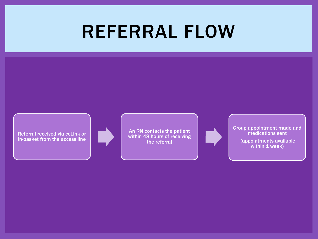## REFERRAL FLOW

Referral received via ccLink or in-basket from the access line



An RN contacts the patient within 48 hours of receiving the referral



Group appointment made and medications sent

> (appointments available within 1 week)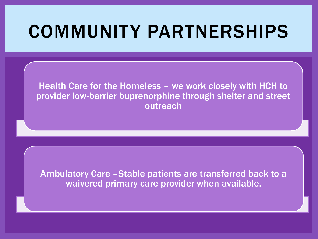## COMMUNITY PARTNERSHIPS

Health Care for the Homeless – we work closely with HCH to provider low-barrier buprenorphine through shelter and street outreach

Ambulatory Care –Stable patients are transferred back to a waivered primary care provider when available.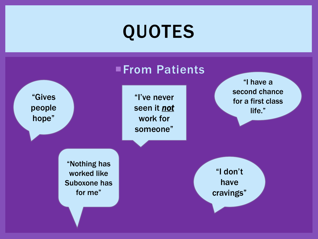# QUOTES

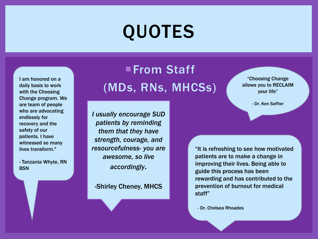# QUOTES

I am honored on a daily basis to work with the Choosing Change program. We are team of people who are advocating endlessly for recovery and the safety of our patients. I have witnessed so many lives transform."

- Tanzania Whyte, RN **BSN** 

#### **From Staff** (MDs, RNs, MHCSs)

*I usually encourage SUD patients by reminding them that they have strength, courage, and resourcefulness- you are awesome, so live accordingly*.

-Shirley Cheney, MHCS

"It is refreshing to see how motivated patients are to make a change in improving their lives. Being able to guide this process has been rewarding and has contributed to the prevention of burnout for medical staff"

- Dr. Chelsea Rhoades

"Choosing Change allows you to RECLAIM your life"

- Dr. Ken Saffier